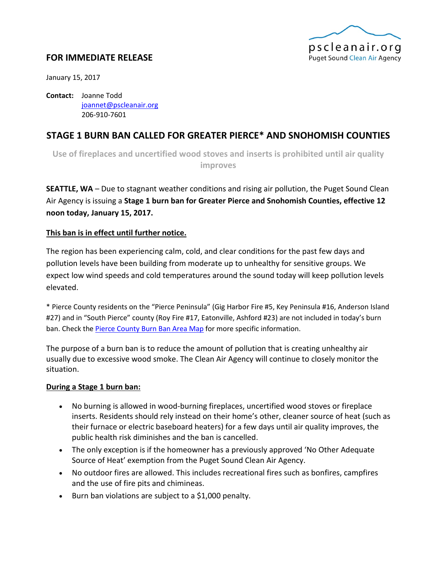

## **FOR IMMEDIATE RELEASE**

January 15, 2017

**Contact:** Joanne Todd [joannet@pscleanair.org](mailto:joannet@pscleanair.org) 206-910-7601

# **STAGE 1 BURN BAN CALLED FOR GREATER PIERCE\* AND SNOHOMISH COUNTIES**

**Use of fireplaces and uncertified wood stoves and inserts is prohibited until air quality improves**

**SEATTLE, WA** – Due to stagnant weather conditions and rising air pollution, the Puget Sound Clean Air Agency is issuing a **Stage 1 burn ban for Greater Pierce and Snohomish Counties, effective 12 noon today, January 15, 2017.**

### **This ban is in effect until further notice.**

The region has been experiencing calm, cold, and clear conditions for the past few days and pollution levels have been building from moderate up to unhealthy for sensitive groups. We expect low wind speeds and cold temperatures around the sound today will keep pollution levels elevated.

\* Pierce County residents on the "Pierce Peninsula" (Gig Harbor Fire #5, Key Peninsula #16, Anderson Island #27) and in "South Pierce" county (Roy Fire #17, Eatonville, Ashford #23) are not included in today's burn ban. Check th[e Pierce County Burn Ban Area Map](https://www.google.com/maps/d/viewer?mid=zmvqFrfm-cro.kweEx2mXIOyE) for more specific information.

The purpose of a burn ban is to reduce the amount of pollution that is creating unhealthy air usually due to excessive wood smoke. The Clean Air Agency will continue to closely monitor the situation.

#### **During a Stage 1 burn ban:**

- No burning is allowed in wood-burning fireplaces, uncertified wood stoves or fireplace inserts. Residents should rely instead on their home's other, cleaner source of heat (such as their furnace or electric baseboard heaters) for a few days until air quality improves, the public health risk diminishes and the ban is cancelled.
- The only exception is if the homeowner has a previously approved 'No Other Adequate Source of Heat' exemption from the Puget Sound Clean Air Agency.
- No outdoor fires are allowed. This includes recreational fires such as bonfires, campfires and the use of fire pits and chimineas.
- Burn ban violations are subject to a \$1,000 penalty.